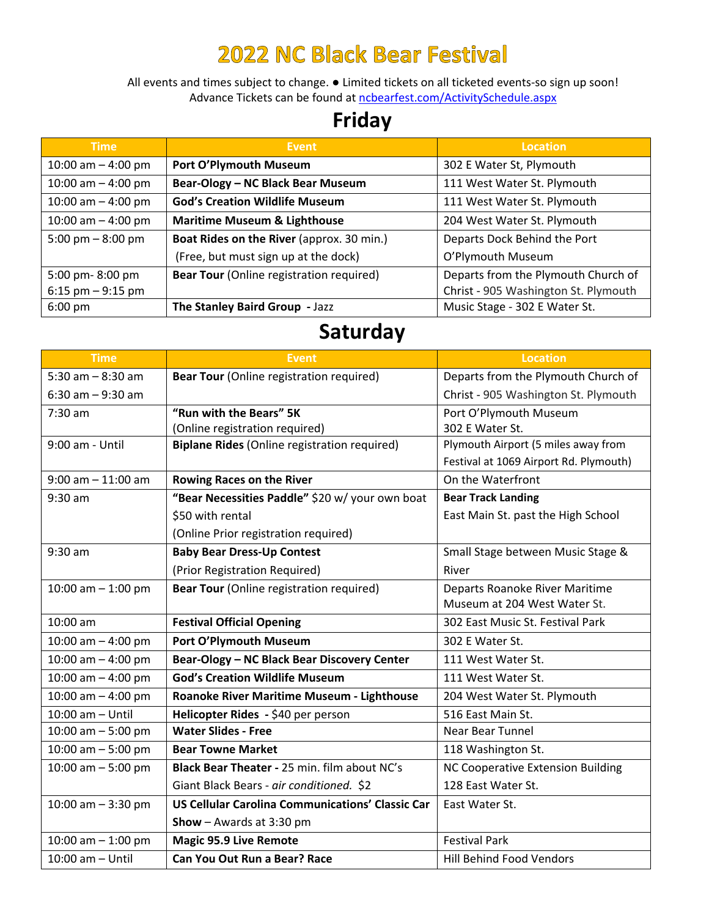## **2022 NC Black Bear Festival**

All events and times subject to change. ● Limited tickets on all ticketed events‐so sign up soon! Advance Tickets can be found at ncbearfest.com/ActivitySchedule.aspx

## **Friday**

| <b>Time</b>          | <b>Event</b>                                    | <b>Location</b>                      |
|----------------------|-------------------------------------------------|--------------------------------------|
| 10:00 am $-$ 4:00 pm | Port O'Plymouth Museum                          | 302 E Water St, Plymouth             |
| 10:00 am $-$ 4:00 pm | Bear-Ology - NC Black Bear Museum               | 111 West Water St. Plymouth          |
| 10:00 am $-$ 4:00 pm | <b>God's Creation Wildlife Museum</b>           | 111 West Water St. Plymouth          |
| 10:00 am $-$ 4:00 pm | <b>Maritime Museum &amp; Lighthouse</b>         | 204 West Water St. Plymouth          |
| 5:00 pm $-8:00$ pm   | Boat Rides on the River (approx. 30 min.)       | Departs Dock Behind the Port         |
|                      | (Free, but must sign up at the dock)            | O'Plymouth Museum                    |
| 5:00 pm-8:00 pm      | <b>Bear Tour</b> (Online registration required) | Departs from the Plymouth Church of  |
| $6:15$ pm $-9:15$ pm |                                                 | Christ - 905 Washington St. Plymouth |
| $6:00 \text{ pm}$    | The Stanley Baird Group - Jazz                  | Music Stage - 302 E Water St.        |

## **Saturday**

| <b>Time</b>           | <b>Event</b>                                            | <b>Location</b>                          |
|-----------------------|---------------------------------------------------------|------------------------------------------|
| 5:30 am $-$ 8:30 am   | <b>Bear Tour</b> (Online registration required)         | Departs from the Plymouth Church of      |
| $6:30$ am $-9:30$ am  |                                                         | Christ - 905 Washington St. Plymouth     |
| 7:30 am               | "Run with the Bears" 5K                                 | Port O'Plymouth Museum                   |
|                       | (Online registration required)                          | 302 E Water St.                          |
| 9:00 am - Until       | <b>Biplane Rides (Online registration required)</b>     | Plymouth Airport (5 miles away from      |
|                       |                                                         | Festival at 1069 Airport Rd. Plymouth)   |
| $9:00$ am $-11:00$ am | <b>Rowing Races on the River</b>                        | On the Waterfront                        |
| $9:30$ am             | "Bear Necessities Paddle" \$20 w/ your own boat         | <b>Bear Track Landing</b>                |
|                       | \$50 with rental                                        | East Main St. past the High School       |
|                       | (Online Prior registration required)                    |                                          |
| 9:30 am               | <b>Baby Bear Dress-Up Contest</b>                       | Small Stage between Music Stage &        |
|                       | (Prior Registration Required)                           | River                                    |
| 10:00 am $-$ 1:00 pm  | Bear Tour (Online registration required)                | Departs Roanoke River Maritime           |
|                       |                                                         | Museum at 204 West Water St.             |
| 10:00 am              | <b>Festival Official Opening</b>                        | 302 East Music St. Festival Park         |
| 10:00 am $-$ 4:00 pm  | Port O'Plymouth Museum                                  | 302 E Water St.                          |
| 10:00 am $-$ 4:00 pm  | Bear-Ology - NC Black Bear Discovery Center             | 111 West Water St.                       |
| 10:00 am $-$ 4:00 pm  | <b>God's Creation Wildlife Museum</b>                   | 111 West Water St.                       |
| 10:00 am $-$ 4:00 pm  | Roanoke River Maritime Museum - Lighthouse              | 204 West Water St. Plymouth              |
| 10:00 am - Until      | Helicopter Rides - \$40 per person                      | 516 East Main St.                        |
| 10:00 am $-5:00$ pm   | <b>Water Slides - Free</b>                              | <b>Near Bear Tunnel</b>                  |
| 10:00 am $-5:00$ pm   | <b>Bear Towne Market</b>                                | 118 Washington St.                       |
| 10:00 am $-5:00$ pm   | Black Bear Theater - 25 min. film about NC's            | <b>NC Cooperative Extension Building</b> |
|                       | Giant Black Bears - air conditioned. \$2                | 128 East Water St.                       |
| 10:00 am $-3:30$ pm   | <b>US Cellular Carolina Communications' Classic Car</b> | East Water St.                           |
|                       | Show $-$ Awards at 3:30 pm                              |                                          |
| 10:00 am $-$ 1:00 pm  | <b>Magic 95.9 Live Remote</b>                           | <b>Festival Park</b>                     |
| 10:00 am - Until      | <b>Can You Out Run a Bear? Race</b>                     | <b>Hill Behind Food Vendors</b>          |